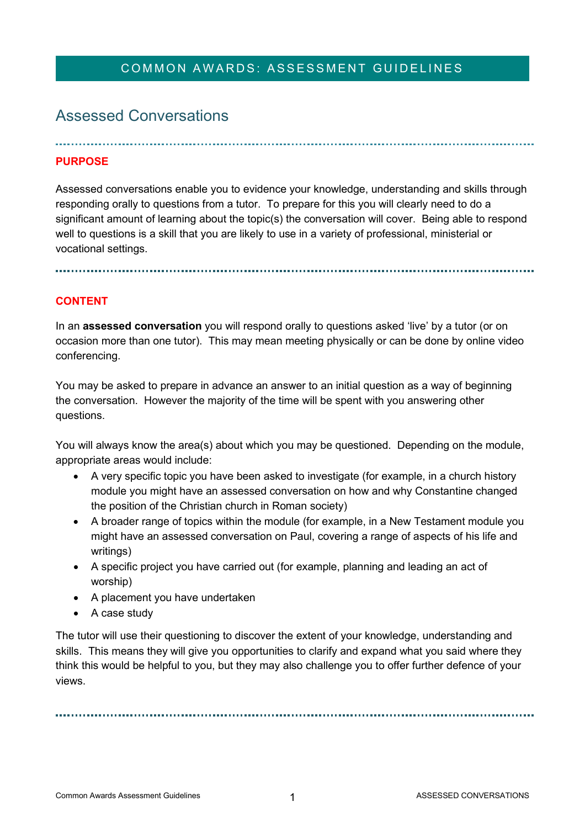# COMMON AWARDS: ASSESSMENT GUIDELINES

# Assessed Conversations

## **PURPOSE**

Assessed conversations enable you to evidence your knowledge, understanding and skills through responding orally to questions from a tutor. To prepare for this you will clearly need to do a significant amount of learning about the topic(s) the conversation will cover. Being able to respond well to questions is a skill that you are likely to use in a variety of professional, ministerial or vocational settings.

#### **CONTENT**

In an **assessed conversation** you will respond orally to questions asked 'live' by a tutor (or on occasion more than one tutor). This may mean meeting physically or can be done by online video conferencing.

You may be asked to prepare in advance an answer to an initial question as a way of beginning the conversation. However the majority of the time will be spent with you answering other questions.

You will always know the area(s) about which you may be questioned. Depending on the module, appropriate areas would include:

- A very specific topic you have been asked to investigate (for example, in a church history module you might have an assessed conversation on how and why Constantine changed the position of the Christian church in Roman society)
- A broader range of topics within the module (for example, in a New Testament module you might have an assessed conversation on Paul, covering a range of aspects of his life and writings)
- A specific project you have carried out (for example, planning and leading an act of worship)
- A placement you have undertaken
- A case study

The tutor will use their questioning to discover the extent of your knowledge, understanding and skills. This means they will give you opportunities to clarify and expand what you said where they think this would be helpful to you, but they may also challenge you to offer further defence of your views.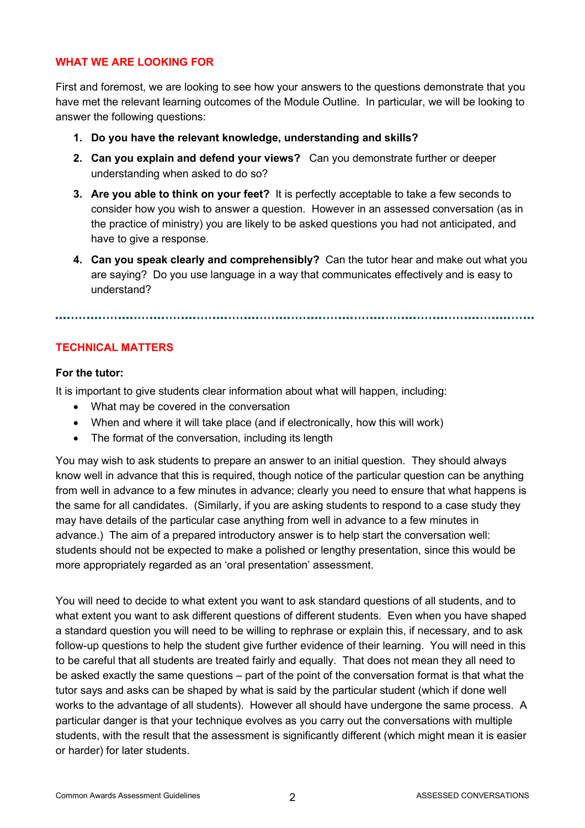#### **WHAT WE ARE LOOKING FOR**

First and foremost, we are looking to see how your answers to the questions demonstrate that you have met the relevant learning outcomes of the Module Outline. In particular, we will be looking to answer the following questions:

- **1. Do you have the relevant knowledge, understanding and skills?**
- **2. Can you explain and defend your views?** Can you demonstrate further or deeper understanding when asked to do so?
- **3. Are you able to think on your feet?** It is perfectly acceptable to take a few seconds to consider how you wish to answer a question. However in an assessed conversation (as in the practice of ministry) you are likely to be asked questions you had not anticipated, and have to give a response.
- **4. Can you speak clearly and comprehensibly?** Can the tutor hear and make out what you are saying? Do you use language in a way that communicates effectively and is easy to understand?

#### **TECHNICAL MATTERS**

#### **For the tutor:**

It is important to give students clear information about what will happen, including:

- What may be covered in the conversation
- When and where it will take place (and if electronically, how this will work)
- The format of the conversation, including its length

You may wish to ask students to prepare an answer to an initial question. They should always know well in advance that this is required, though notice of the particular question can be anything from well in advance to a few minutes in advance; clearly you need to ensure that what happens is the same for all candidates. (Similarly, if you are asking students to respond to a case study they may have details of the particular case anything from well in advance to a few minutes in advance.) The aim of a prepared introductory answer is to help start the conversation well: students should not be expected to make a polished or lengthy presentation, since this would be more appropriately regarded as an 'oral presentation' assessment.

You will need to decide to what extent you want to ask standard questions of all students, and to what extent you want to ask different questions of different students. Even when you have shaped a standard question you will need to be willing to rephrase or explain this, if necessary, and to ask follow-up questions to help the student give further evidence of their learning. You will need in this to be careful that all students are treated fairly and equally. That does not mean they all need to be asked exactly the same questions – part of the point of the conversation format is that what the tutor says and asks can be shaped by what is said by the particular student (which if done well works to the advantage of all students). However all should have undergone the same process. A particular danger is that your technique evolves as you carry out the conversations with multiple students, with the result that the assessment is significantly different (which might mean it is easier or harder) for later students.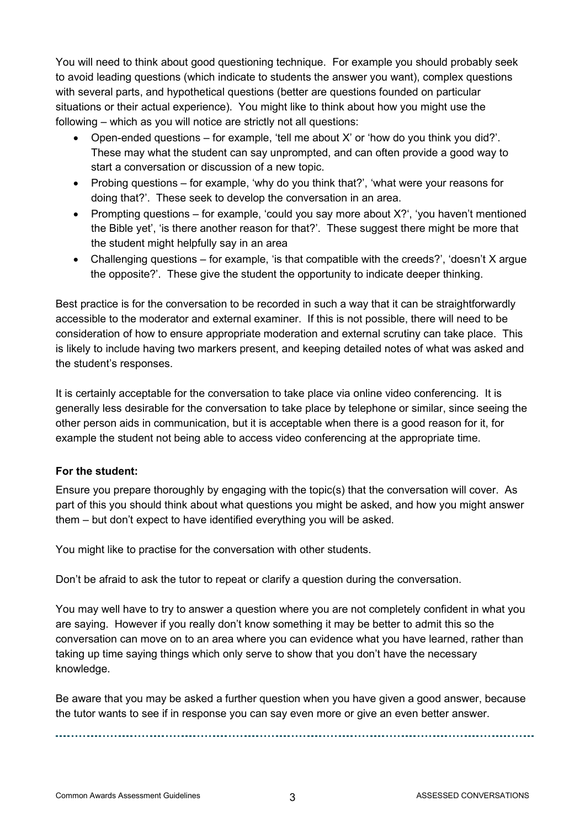You will need to think about good questioning technique. For example you should probably seek to avoid leading questions (which indicate to students the answer you want), complex questions with several parts, and hypothetical questions (better are questions founded on particular situations or their actual experience). You might like to think about how you might use the following – which as you will notice are strictly not all questions:

- Open-ended questions for example, 'tell me about X' or 'how do you think you did?'. These may what the student can say unprompted, and can often provide a good way to start a conversation or discussion of a new topic.
- Probing questions for example, 'why do you think that?', 'what were your reasons for doing that?'. These seek to develop the conversation in an area.
- Prompting questions for example, 'could you say more about  $X$ ?', 'you haven't mentioned the Bible yet', 'is there another reason for that?'. These suggest there might be more that the student might helpfully say in an area
- Challenging questions for example, 'is that compatible with the creeds?', 'doesn't X argue the opposite?'. These give the student the opportunity to indicate deeper thinking.

Best practice is for the conversation to be recorded in such a way that it can be straightforwardly accessible to the moderator and external examiner. If this is not possible, there will need to be consideration of how to ensure appropriate moderation and external scrutiny can take place. This is likely to include having two markers present, and keeping detailed notes of what was asked and the student's responses.

It is certainly acceptable for the conversation to take place via online video conferencing. It is generally less desirable for the conversation to take place by telephone or similar, since seeing the other person aids in communication, but it is acceptable when there is a good reason for it, for example the student not being able to access video conferencing at the appropriate time.

### **For the student:**

Ensure you prepare thoroughly by engaging with the topic(s) that the conversation will cover. As part of this you should think about what questions you might be asked, and how you might answer them – but don't expect to have identified everything you will be asked.

You might like to practise for the conversation with other students.

Don't be afraid to ask the tutor to repeat or clarify a question during the conversation.

You may well have to try to answer a question where you are not completely confident in what you are saying. However if you really don't know something it may be better to admit this so the conversation can move on to an area where you can evidence what you have learned, rather than taking up time saying things which only serve to show that you don't have the necessary knowledge.

Be aware that you may be asked a further question when you have given a good answer, because the tutor wants to see if in response you can say even more or give an even better answer.

Common Awards Assessment Guidelines **3** ASSESSED CONVERSATIONS